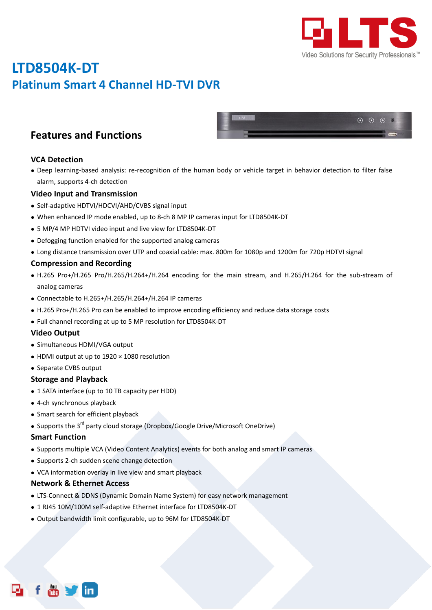

 $\odot$   $\odot$   $\odot$  III

# **LTD8504K-DT Platinum Smart 4 Channel HD-TVI DVR**

### **Features and Functions**

#### **VCA Detection**

 Deep learning-based analysis: re-recognition of the human body or vehicle target in behavior detection to filter false alarm, supports 4-ch detection

#### **Video Input and Transmission**

- Self-adaptive HDTVI/HDCVI/AHD/CVBS signal input
- When enhanced IP mode enabled, up to 8-ch 8 MP IP cameras input for LTD8504K-DT
- 5 MP/4 MP HDTVI video input and live view for LTD8504K-DT
- Defogging function enabled for the supported analog cameras
- Long distance transmission over UTP and coaxial cable: max. 800m for 1080p and 1200m for 720p HDTVI signal

#### **Compression and Recording**

- H.265 Pro+/H.265 Pro/H.265/H.264+/H.264 encoding for the main stream, and H.265/H.264 for the sub-stream of analog cameras
- Connectable to H.265+/H.265/H.264+/H.264 IP cameras
- H.265 Pro+/H.265 Pro can be enabled to improve encoding efficiency and reduce data storage costs
- Full channel recording at up to 5 MP resolution for LTD8504K-DT

#### **Video Output**

- Simultaneous HDMI/VGA output
- HDMI output at up to 1920 × 1080 resolution
- Separate CVBS output

#### **Storage and Playback**

- 1 SATA interface (up to 10 TB capacity per HDD)
- 4-ch synchronous playback
- Smart search for efficient playback
- $\bullet$  Supports the 3<sup>rd</sup> party cloud storage (Dropbox/Google Drive/Microsoft OneDrive)

#### **Smart Function**

- Supports multiple VCA (Video Content Analytics) events for both analog and smart IP cameras
- Supports 2-ch sudden scene change detection
- VCA information overlay in live view and smart playback

#### **Network & Ethernet Access**

- LTS-Connect & DDNS (Dynamic Domain Name System) for easy network management
- 1 RJ45 10M/100M self-adaptive Ethernet interface for LTD8504K-DT
- Output bandwidth limit configurable, up to 96M for LTD8504K-DT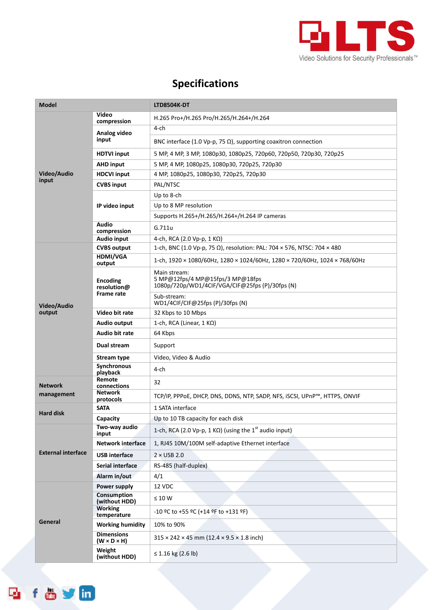

## **Specifications**

| <b>Model</b>              |                                                     | LTD8504K-DT                                                                                                |  |  |
|---------------------------|-----------------------------------------------------|------------------------------------------------------------------------------------------------------------|--|--|
| Video/Audio<br>input      | Video<br>compression                                | H.265 Pro+/H.265 Pro/H.265/H.264+/H.264                                                                    |  |  |
|                           | Analog video<br>input                               | 4-ch                                                                                                       |  |  |
|                           |                                                     | BNC interface (1.0 Vp-p, 75 $\Omega$ ), supporting coaxitron connection                                    |  |  |
|                           | <b>HDTVI input</b>                                  | 5 MP, 4 MP, 3 MP, 1080p30, 1080p25, 720p60, 720p50, 720p30, 720p25                                         |  |  |
|                           | <b>AHD input</b>                                    | 5 MP, 4 MP, 1080p25, 1080p30, 720p25, 720p30                                                               |  |  |
|                           | <b>HDCVI input</b>                                  | 4 MP, 1080p25, 1080p30, 720p25, 720p30                                                                     |  |  |
|                           | <b>CVBS input</b>                                   | PAL/NTSC                                                                                                   |  |  |
|                           | IP video input                                      | Up to 8-ch                                                                                                 |  |  |
|                           |                                                     | Up to 8 MP resolution                                                                                      |  |  |
|                           |                                                     | Supports H.265+/H.265/H.264+/H.264 IP cameras                                                              |  |  |
|                           | Audio                                               | G.711u                                                                                                     |  |  |
|                           | compression<br><b>Audio input</b>                   | 4-ch, RCA (2.0 Vp-p, 1 KΩ)                                                                                 |  |  |
|                           | <b>CVBS output</b>                                  | 1-ch, BNC (1.0 Vp-p, 75 Ω), resolution: PAL: 704 × 576, NTSC: 704 × 480                                    |  |  |
| Video/Audio               | <b>HDMI/VGA</b><br>output                           | 1-ch, $1920 \times 1080/60$ Hz, $1280 \times 1024/60$ Hz, $1280 \times 720/60$ Hz, $1024 \times 768/60$ Hz |  |  |
|                           | <b>Encoding</b><br>resolution@<br><b>Frame rate</b> | Main stream:<br>5 MP@12fps/4 MP@15fps/3 MP@18fps<br>1080p/720p/WD1/4CIF/VGA/CIF@25fps (P)/30fps (N)        |  |  |
|                           |                                                     | Sub-stream:<br>WD1/4CIF/CIF@25fps (P)/30fps (N)                                                            |  |  |
| output                    | Video bit rate                                      | 32 Kbps to 10 Mbps                                                                                         |  |  |
|                           | Audio output                                        | 1-ch, RCA (Linear, $1 K\Omega$ )                                                                           |  |  |
|                           | Audio bit rate                                      | 64 Kbps                                                                                                    |  |  |
|                           | Dual stream                                         | Support                                                                                                    |  |  |
|                           | <b>Stream type</b>                                  | Video, Video & Audio                                                                                       |  |  |
|                           | Synchronous<br>playback                             | 4-ch                                                                                                       |  |  |
| <b>Network</b>            | Remote<br>connections                               | 32                                                                                                         |  |  |
| management                | <b>Network</b><br>protocols                         | TCP/IP, PPPoE, DHCP, DNS, DDNS, NTP, SADP, NFS, iSCSI, UPnP™, HTTPS, ONVIF                                 |  |  |
| <b>Hard disk</b>          | <b>SATA</b>                                         | 1 SATA interface                                                                                           |  |  |
|                           | Capacity                                            | Up to 10 TB capacity for each disk                                                                         |  |  |
|                           | Two-way audio<br>input                              | 1-ch, RCA (2.0 Vp-p, 1 K $\Omega$ ) (using the 1 <sup>st</sup> audio input)                                |  |  |
|                           | <b>Network interface</b>                            | 1, RJ45 10M/100M self-adaptive Ethernet interface                                                          |  |  |
| <b>External interface</b> | <b>USB</b> interface                                | $2 \times$ USB 2.0                                                                                         |  |  |
|                           | Serial interface                                    | RS-485 (half-duplex)                                                                                       |  |  |
|                           | Alarm in/out                                        | 4/1                                                                                                        |  |  |
|                           | Power supply                                        | 12 VDC                                                                                                     |  |  |
| General                   | <b>Consumption</b><br>(without HDD)                 | $\leq 10 W$                                                                                                |  |  |
|                           | <b>Working</b><br>temperature                       | $-10$ °C to +55 °C (+14 °F to +131 °F)                                                                     |  |  |
|                           | <b>Working humidity</b>                             | 10% to 90%                                                                                                 |  |  |
|                           | <b>Dimensions</b><br>$(W \times D \times H)$        | $315 \times 242 \times 45$ mm (12.4 $\times$ 9.5 $\times$ 1.8 inch)                                        |  |  |
|                           | Weight<br>(without HDD)                             | $\leq$ 1.16 kg (2.6 lb)                                                                                    |  |  |

f o y in

Q,